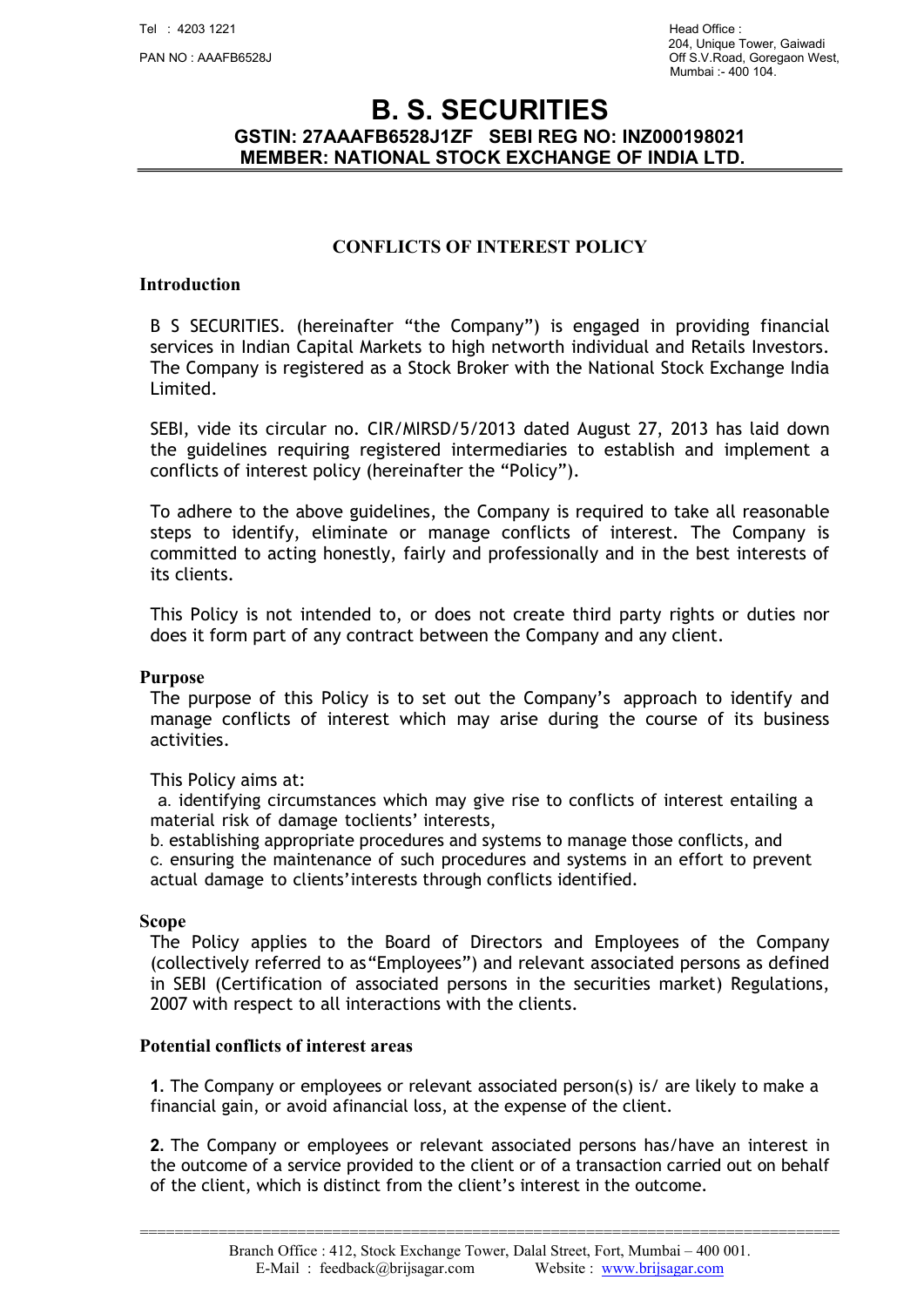# B. S. SECURITIES GSTIN: 27AAAFB6528J1ZF SEBI REG NO: INZ000198021 MEMBER: NATIONAL STOCK EXCHANGE OF INDIA LTD.

### CONFLICTS OF INTEREST POLICY

### Introduction

B S SECURITIES. (hereinafter "the Company") is engaged in providing financial services in Indian Capital Markets to high networth individual and Retails Investors. The Company is registered as a Stock Broker with the National Stock Exchange India Limited.

SEBI, vide its circular no. CIR/MIRSD/5/2013 dated August 27, 2013 has laid down the guidelines requiring registered intermediaries to establish and implement a conflicts of interest policy (hereinafter the "Policy").

To adhere to the above guidelines, the Company is required to take all reasonable steps to identify, eliminate or manage conflicts of interest. The Company is committed to acting honestly, fairly and professionally and in the best interests of its clients.

This Policy is not intended to, or does not create third party rights or duties nor does it form part of any contract between the Company and any client.

#### Purpose

The purpose of this Policy is to set out the Company's approach to identify and manage conflicts of interest which may arise during the course of its business activities.

#### This Policy aims at:

a. identifying circumstances which may give rise to conflicts of interest entailing a material risk of damage toclients' interests,

b. establishing appropriate procedures and systems to manage those conflicts, and c. ensuring the maintenance of such procedures and systems in an effort to prevent actual damage to clients' interests through conflicts identified.

#### Scope

The Policy applies to the Board of Directors and Employees of the Company (collectively referred to as "Employees") and relevant associated persons as defined in SEBI (Certification of associated persons in the securities market) Regulations, 2007 with respect to all interactions with the clients.

#### Potential conflicts of interest areas

1. The Company or employees or relevant associated person(s) is/ are likely to make a financial gain, or avoid a financial loss, at the expense of the client.

2. The Company or employees or relevant associated persons has/have an interest in the outcome of a service provided to the client or of a transaction carried out on behalf of the client, which is distinct from the client's interest in the outcome.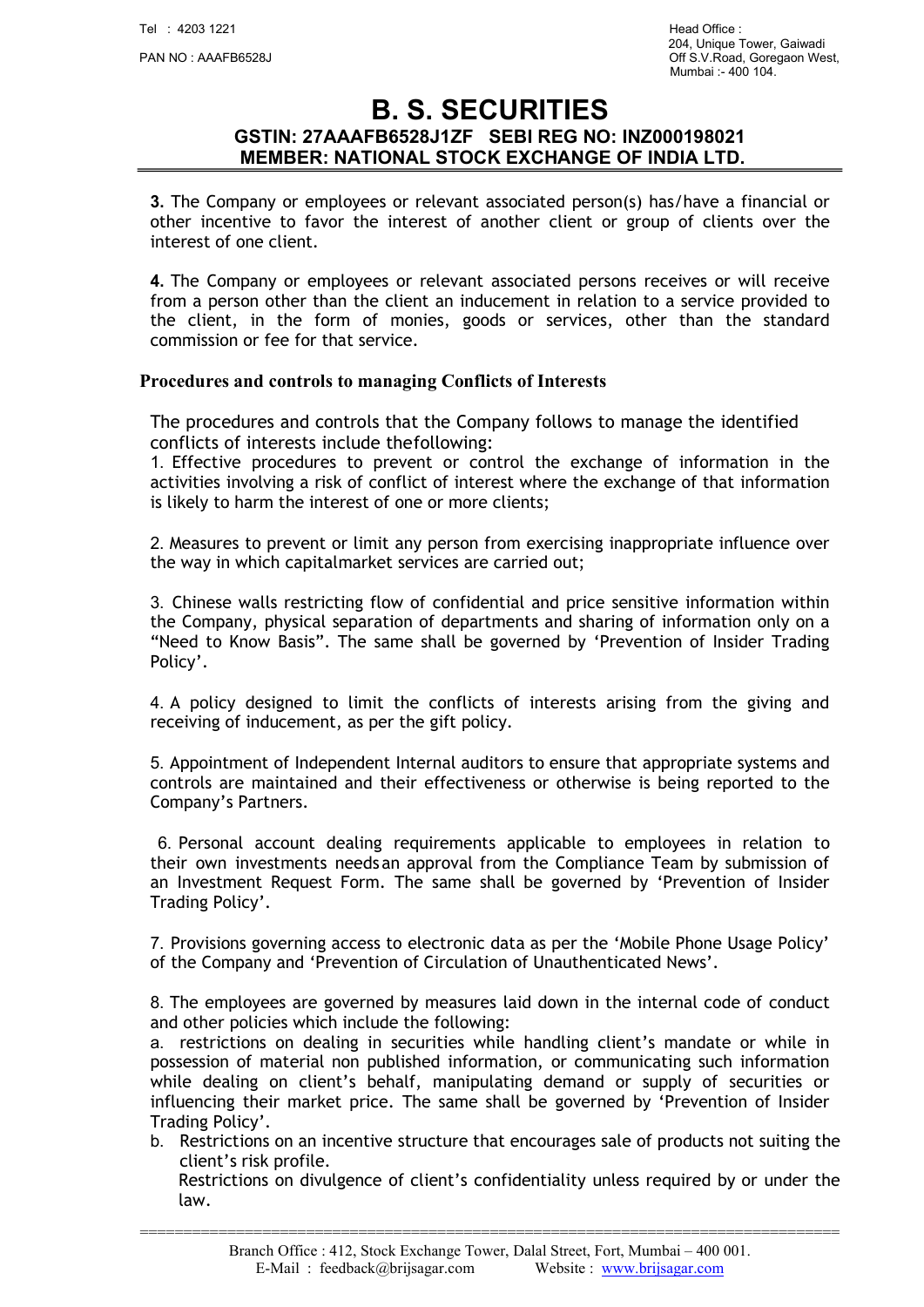## B. S. SECURITIES GSTIN: 27AAAFB6528J1ZF SEBI REG NO: INZ000198021 MEMBER: NATIONAL STOCK EXCHANGE OF INDIA LTD.

3. The Company or employees or relevant associated person(s) has/have a financial or other incentive to favor the interest of another client or group of clients over the interest of one client.

4. The Company or employees or relevant associated persons receives or will receive from a person other than the client an inducement in relation to a service provided to the client, in the form of monies, goods or services, other than the standard commission or fee for that service.

### Procedures and controls to managing Conflicts of Interests

The procedures and controls that the Company follows to manage the identified conflicts of interests include the following:

1. Effective procedures to prevent or control the exchange of information in the activities involving a risk of conflict of interest where the exchange of that information is likely to harm the interest of one or more clients;

2. Measures to prevent or limit any person from exercising inappropriate influence over the way in which capital market services are carried out;

3. Chinese walls restricting flow of confidential and price sensitive information within the Company, physical separation of departments and sharing of information only on a "Need to Know Basis". The same shall be governed by 'Prevention of Insider Trading Policy'.

4. A policy designed to limit the conflicts of interests arising from the giving and receiving of inducement, as per the gift policy.

5. Appointment of Independent Internal auditors to ensure that appropriate systems and controls are maintained and their effectiveness or otherwise is being reported to the Company's Partners.

6. Personal account dealing requirements applicable to employees in relation to their own investments needs an approval from the Compliance Team by submission of an Investment Request Form. The same shall be governed by 'Prevention of Insider Trading Policy'.

7. Provisions governing access to electronic data as per the 'Mobile Phone Usage Policy' of the Company and 'Prevention of Circulation of Unauthenticated News'.

8. The employees are governed by measures laid down in the internal code of conduct and other policies which include the following:

a. restrictions on dealing in securities while handling client's mandate or while in possession of material non published information, or communicating such information while dealing on client's behalf, manipulating demand or supply of securities or influencing their market price. The same shall be governed by 'Prevention of Insider Trading Policy'.

b. Restrictions on an incentive structure that encourages sale of products not suiting the client's risk profile.

Restrictions on divulgence of client's confidentiality unless required by or under the law.